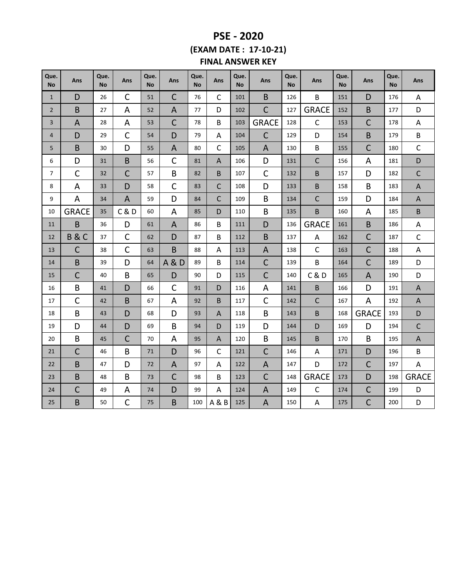## **PSE - 2020** (EXAM DATE: 17-10-21) **FINAL ANSWER KEY**

| Que.<br><b>No</b> | Ans            | Que.<br><b>No</b> | Ans          | Que.<br><b>No</b> | Ans            | Que.<br><b>No</b> | Ans            | Que.<br><b>No</b> | Ans          | Que.<br><b>No</b> | Ans          | Que.<br><b>No</b> | Ans          | Que.<br><b>No</b> | Ans          |
|-------------------|----------------|-------------------|--------------|-------------------|----------------|-------------------|----------------|-------------------|--------------|-------------------|--------------|-------------------|--------------|-------------------|--------------|
| $\mathbf{1}$      | D              | 26                | $\mathsf{C}$ | 51                | $\overline{C}$ | 76                | $\mathsf{C}$   | 101               | B            | 126               | B            | 151               | D            | 176               | A            |
| $\overline{2}$    | B              | 27                | A            | 52                | $\overline{A}$ | 77                | D              | 102               | $\mathsf{C}$ | 127               | <b>GRACE</b> | 152               | B            | 177               | D            |
| 3                 | A              | 28                | A            | 53                | $\mathsf{C}$   | 78                | B              | 103               | <b>GRACE</b> | 128               | $\mathsf{C}$ | 153               | $\mathsf C$  | 178               | Α            |
| $\overline{4}$    | D              | 29                | $\mathsf{C}$ | 54                | D              | 79                | Α              | 104               | $\mathsf{C}$ | 129               | D            | 154               | B            | 179               | B            |
| 5                 | B              | 30                | D            | 55                | $\mathsf{A}$   | 80                | $\mathsf C$    | 105               | $\mathsf{A}$ | 130               | B            | 155               | $\mathsf C$  | 180               | $\mathsf C$  |
| 6                 | D              | 31                | B            | 56                | C              | 81                | A              | 106               | D            | 131               | C            | 156               | A            | 181               | D            |
| $\overline{7}$    | $\mathsf{C}$   | 32                | $\mathsf C$  | 57                | B              | 82                | B              | 107               | $\mathsf{C}$ | 132               | B            | 157               | D            | 182               | $\mathsf C$  |
| 8                 | A              | 33                | D            | 58                | $\mathsf{C}$   | 83                | $\mathsf{C}$   | 108               | D            | 133               | B            | 158               | B            | 183               | $\mathsf A$  |
| 9                 | A              | 34                | A            | 59                | D              | 84                | $\mathsf{C}$   | 109               | B            | 134               | C            | 159               | D            | 184               | A            |
| 10                | <b>GRACE</b>   | 35                | C & D        | 60                | A              | 85                | D              | 110               | B            | 135               | B            | 160               | A            | 185               | $\sf B$      |
| 11                | B              | 36                | D            | 61                | A              | 86                | B              | 111               | D            | 136               | <b>GRACE</b> | 161               | B            | 186               | A            |
| 12                | <b>B&amp;C</b> | 37                | $\mathsf{C}$ | 62                | D              | 87                | B              | 112               | B            | 137               | A            | 162               | $\mathsf C$  | 187               | $\mathsf C$  |
| 13                | $\mathsf{C}$   | 38                | $\mathsf{C}$ | 63                | B              | 88                | Α              | 113               | A            | 138               | $\mathsf{C}$ | 163               | $\mathsf C$  | 188               | Α            |
| 14                | $\mathsf B$    | 39                | D            | 64                | <b>A&amp;D</b> | 89                | B              | 114               | $\mathsf{C}$ | 139               | B            | 164               | $\mathsf C$  | 189               | D            |
| 15                | $\mathsf{C}$   | 40                | $\sf B$      | 65                | D              | 90                | D              | 115               | $\mathsf{C}$ | 140               | C & D        | 165               | A            | 190               | D            |
| 16                | B              | 41                | D            | 66                | $\mathsf{C}$   | 91                | D              | 116               | A            | 141               | B            | 166               | D            | 191               | A            |
| 17                | $\mathsf{C}$   | 42                | B            | 67                | A              | 92                | B              | 117               | $\mathsf{C}$ | 142               | С            | 167               | A            | 192               | $\mathsf{A}$ |
| 18                | B              | 43                | D            | 68                | D              | 93                | $\overline{A}$ | 118               | B            | 143               | B            | 168               | <b>GRACE</b> | 193               | D            |
| 19                | D              | 44                | D            | 69                | B              | 94                | D              | 119               | D            | 144               | D            | 169               | D            | 194               | $\mathsf{C}$ |
| 20                | $\sf B$        | 45                | C            | 70                | A              | 95                | A              | 120               | B            | 145               | B            | 170               | B            | 195               | $\mathsf A$  |
| 21                | $\mathsf{C}$   | 46                | B            | 71                | D              | 96                | $\mathsf C$    | 121               | $\mathsf{C}$ | 146               | A            | 171               | D            | 196               | B            |
| 22                | B              | 47                | D            | 72                | $\overline{A}$ | 97                | A              | 122               | A            | 147               | D            | 172               | $\mathsf C$  | 197               | Α            |
| 23                | B              | 48                | B            | 73                | $\mathsf{C}$   | 98                | B              | 123               | C            | 148               | <b>GRACE</b> | 173               | D            | 198               | <b>GRACE</b> |
| 24                | $\mathsf{C}$   | 49                | A            | 74                | D              | 99                | A              | 124               | A            | 149               | $\mathsf C$  | 174               | $\mathsf C$  | 199               | D            |
| 25                | B              | 50                | $\mathsf{C}$ | 75                | B              | 100               | A & B          | 125               | $\mathsf{A}$ | 150               | A            | 175               | $\mathsf{C}$ | 200               | D            |